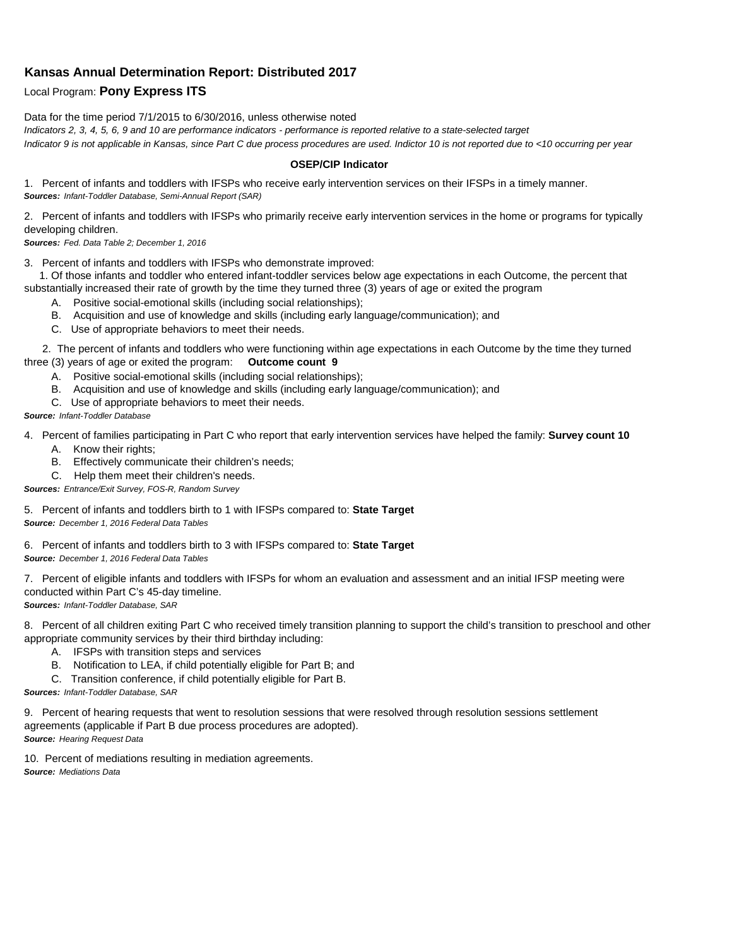## **Kansas Annual Determination Report: Distributed 2017**

## Local Program: **Pony Express ITS**

Data for the time period 7/1/2015 to 6/30/2016, unless otherwise noted

*Indicators 2, 3, 4, 5, 6, 9 and 10 are performance indicators - performance is reported relative to a state-selected target Indicator 9 is not applicable in Kansas, since Part C due process procedures are used. Indictor 10 is not reported due to <10 occurring per year*

## **OSEP/CIP Indicator**

1. Percent of infants and toddlers with IFSPs who receive early intervention services on their IFSPs in a timely manner. *Sources: Infant-Toddler Database, Semi-Annual Report (SAR)* 

2. Percent of infants and toddlers with IFSPs who primarily receive early intervention services in the home or programs for typically developing children.

*Sources: Fed. Data Table 2; December 1, 2016*

3. Percent of infants and toddlers with IFSPs who demonstrate improved:

 1. Of those infants and toddler who entered infant-toddler services below age expectations in each Outcome, the percent that substantially increased their rate of growth by the time they turned three (3) years of age or exited the program

- A. Positive social-emotional skills (including social relationships);
- B. Acquisition and use of knowledge and skills (including early language/communication); and
- C. Use of appropriate behaviors to meet their needs.

 2. The percent of infants and toddlers who were functioning within age expectations in each Outcome by the time they turned three (3) years of age or exited the program: **Outcome count 9**

- A. Positive social-emotional skills (including social relationships);
- B. Acquisition and use of knowledge and skills (including early language/communication); and
- C. Use of appropriate behaviors to meet their needs.

## *Source: Infant-Toddler Database*

4. Percent of families participating in Part C who report that early intervention services have helped the family: **Survey count 10**

- A. Know their rights;
- B. Effectively communicate their children's needs;
- C. Help them meet their children's needs.
- *Sources: Entrance/Exit Survey, FOS-R, Random Survey*

5. Percent of infants and toddlers birth to 1 with IFSPs compared to: **State Target** *Source: December 1, 2016 Federal Data Tables*

6. Percent of infants and toddlers birth to 3 with IFSPs compared to: **State Target** *Source: December 1, 2016 Federal Data Tables*

7. Percent of eligible infants and toddlers with IFSPs for whom an evaluation and assessment and an initial IFSP meeting were conducted within Part C's 45-day timeline.

*Sources: Infant-Toddler Database, SAR*

8. Percent of all children exiting Part C who received timely transition planning to support the child's transition to preschool and other appropriate community services by their third birthday including:

- A. IFSPs with transition steps and services
- B. Notification to LEA, if child potentially eligible for Part B; and
- C. Transition conference, if child potentially eligible for Part B.

*Sources: Infant-Toddler Database, SAR*

9. Percent of hearing requests that went to resolution sessions that were resolved through resolution sessions settlement agreements (applicable if Part B due process procedures are adopted). *Source: Hearing Request Data*

10. Percent of mediations resulting in mediation agreements. *Source: Mediations Data*